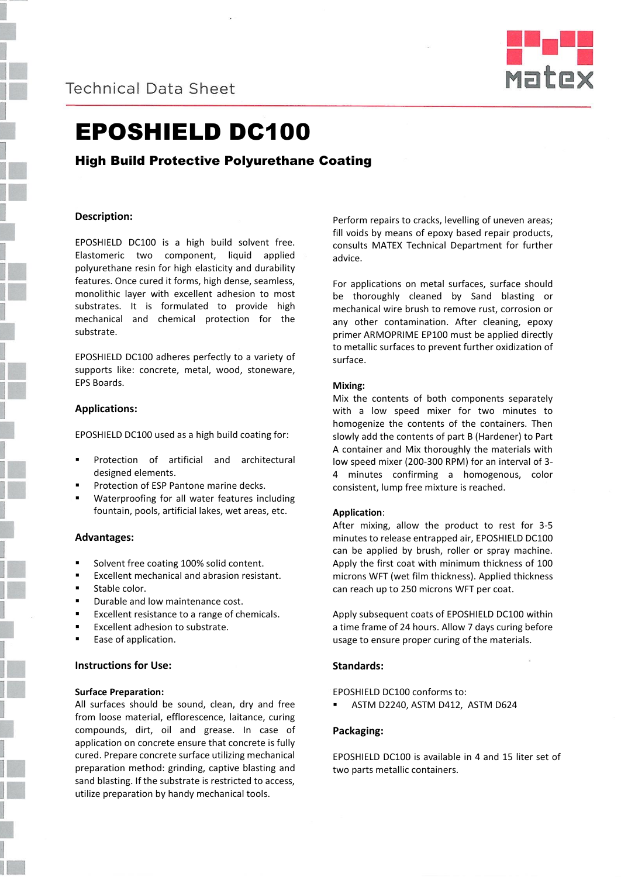



# EPOSHIELD DC100

# High Build Protective Polyurethane Coating

# **Description:**

EPOSHIELD DC100 is a high build solvent free. Elastomeric two component, liquid applied polyurethane resin for high elasticity and durability features. Once cured it forms, high dense, seamless, monolithic layer with excellent adhesion to most substrates. It is formulated to provide high mechanical and chemical protection for the substrate.

EPOSHIELD DC100 adheres perfectly to a variety of supports like: concrete, metal, wood, stoneware, EPS Boards.

#### **Applications:**

EPOSHIELD DC100 used as a high build coating for:

- Protection of artificial and architectural designed elements.
- Protection of ESP Pantone marine decks.
- Waterproofing for all water features including fountain, pools, artificial lakes, wet areas, etc.

#### **Advantages:**

- Solvent free coating 100% solid content.
- Excellent mechanical and abrasion resistant.
- Stable color.
- Durable and low maintenance cost.
- Excellent resistance to a range of chemicals.
- Excellent adhesion to substrate.
- Ease of application.

### **Instructions for Use:**

#### **Surface Preparation:**

All surfaces should be sound, clean, dry and free from loose material, efflorescence, laitance, curing compounds, dirt, oil and grease. In case of application on concrete ensure that concrete is fully cured. Prepare concrete surface utilizing mechanical preparation method: grinding, captive blasting and sand blasting. If the substrate is restricted to access, utilize preparation by handy mechanical tools.

Perform repairs to cracks, levelling of uneven areas; fill voids by means of epoxy based repair products, consults MATEX Technical Department for further advice.

For applications on metal surfaces, surface should be thoroughly cleaned by Sand blasting or mechanical wire brush to remove rust, corrosion or any other contamination. After cleaning, epoxy primer ARMOPRIME EP100 must be applied directly to metallic surfaces to prevent further oxidization of surface.

#### **Mixing:**

Mix the contents of both components separately with a low speed mixer for two minutes to homogenize the contents of the containers. Then slowly add the contents of part B (Hardener) to Part A container and Mix thoroughly the materials with low speed mixer (200-300 RPM) for an interval of 3- 4 minutes confirming a homogenous, color consistent, lump free mixture is reached.

#### **Application**:

After mixing, allow the product to rest for 3-5 minutes to release entrapped air, EPOSHIELD DC100 can be applied by brush, roller or spray machine. Apply the first coat with minimum thickness of 100 microns WFT (wet film thickness). Applied thickness can reach up to 250 microns WFT per coat.

Apply subsequent coats of EPOSHIELD DC100 within a time frame of 24 hours. Allow 7 days curing before usage to ensure proper curing of the materials.

#### **Standards:**

EPOSHIELD DC100 conforms to:

ASTM D2240, ASTM D412, ASTM D624

#### **Packaging:**

EPOSHIELD DC100 is available in 4 and 15 liter set of two parts metallic containers.